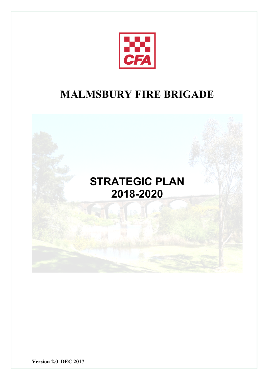

# **MALMSBURY FIRE BRIGADE**



**Version 2.0 DEC 2017**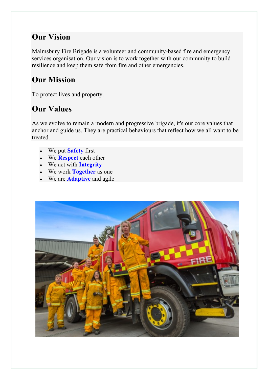### **Our Vision**

Malmsbury Fire Brigade is a volunteer and community-based fire and emergency services organisation. Our vision is to work together with our community to build resilience and keep them safe from fire and other emergencies.

## **Our Mission**

To protect lives and property.

## **Our Values**

As we evolve to remain a modern and progressive brigade, it's our core values that anchor and guide us. They are practical behaviours that reflect how we all want to be treated.

- We put **Safety** first
- We **Respect** each other
- We act with **Integrity**
- We work **Together** as one
- We are **Adaptive** and agile

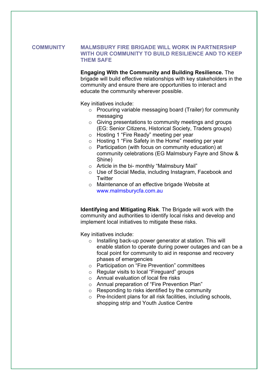#### **COMMUNITY MALMSBURY FIRE BRIGADE WILL WORK IN PARTNERSHIP WITH OUR COMMUNITY TO BUILD RESILIENCE AND TO KEEP THEM SAFE**

**Engaging With the Community and Building Resilience.** The brigade will build effective relationships with key stakeholders in the community and ensure there are opportunities to interact and educate the community wherever possible.

Key initiatives include:

- o Procuring variable messaging board (Trailer) for community messaging
- o Giving presentations to community meetings and groups (EG: Senior Citizens, Historical Society, Traders groups)
- o Hosting 1 "Fire Ready" meeting per year
- o Hosting 1 "Fire Safety in the Home" meeting per year
- o Participation (with focus on community education) at community celebrations (EG Malmsbury Fayre and Show & Shine)
- o Article in the bi- monthly "Malmsbury Mail"
- o Use of Social Media, including Instagram, Facebook and **Twitter**
- o Maintenance of an effective brigade Website at www.malmsburycfa.com.au

**Identifying and Mitigating Risk**. The Brigade will work with the community and authorities to identify local risks and develop and implement local initiatives to mitigate these risks.

- o Installing back-up power generator at station. This will enable station to operate during power outages and can be a focal point for community to aid in response and recovery phases of emergencies
- o Participation on "Fire Prevention" committees
- o Regular visits to local "Fireguard" groups
- o Annual evaluation of local fire risks
- o Annual preparation of "Fire Prevention Plan"
- o Responding to risks identified by the community
- o Pre-Incident plans for all risk facilities, including schools, shopping strip and Youth Justice Centre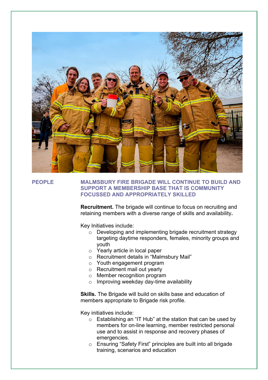

#### **PEOPLE MALMSBURY FIRE BRIGADE WILL CONTINUE TO BUILD AND SUPPORT A MEMBERSHIP BASE THAT IS COMMUNITY FOCUSSED AND APPROPRIATELY SKILLED**

**Recruitment.** The brigade will continue to focus on recruiting and retaining members with a diverse range of skills and availability**.**

Key Initiatives include:

- o Developing and implementing brigade recruitment strategy targeting daytime responders, females, minority groups and youth
- o Yearly article in local paper
- o Recruitment details in "Malmsbury Mail"
- o Youth engagement program
- o Recruitment mail out yearly
- o Member recognition program
- o Improving weekday day-time availability

**Skills.** The Brigade will build on skills base and education of members appropriate to Brigade risk profile.

- o Establishing an "IT Hub" at the station that can be used by members for on-line learning, member restricted personal use and to assist in response and recovery phases of emergencies.
- o Ensuring "Safety First" principles are built into all brigade training, scenarios and education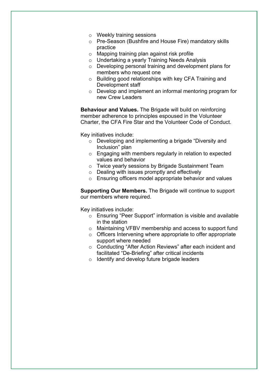- o Weekly training sessions
- o Pre-Season (Bushfire and House Fire) mandatory skills practice
- o Mapping training plan against risk profile
- o Undertaking a yearly Training Needs Analysis
- o Developing personal training and development plans for members who request one
- o Building good relationships with key CFA Training and Development staff
- o Develop and implement an informal mentoring program for new Crew Leaders

**Behaviour and Values.** The Brigade will build on reinforcing member adherence to principles espoused in the Volunteer Charter, the CFA Fire Star and the Volunteer Code of Conduct.

Key initiatives include:

- o Developing and implementing a brigade "Diversity and Inclusion" plan
- o Engaging with members regularly in relation to expected values and behavior
- o Twice yearly sessions by Brigade Sustainment Team
- o Dealing with issues promptly and effectively
- o Ensuring officers model appropriate behavior and values

**Supporting Our Members.** The Brigade will continue to support our members where required.

- o Ensuring "Peer Support" information is visible and available in the station
- o Maintaining VFBV membership and access to support fund
- o Officers Intervening where appropriate to offer appropriate support where needed
- o Conducting "After Action Reviews" after each incident and facilitated "De-Briefing" after critical incidents
- o Identify and develop future brigade leaders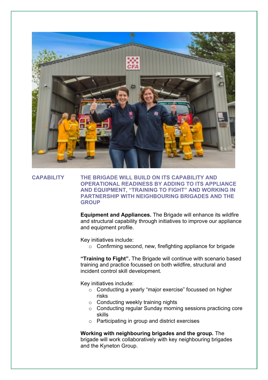

### **CAPABILITY THE BRIGADE WILL BUILD ON ITS CAPABILITY AND OPERATIONAL READINESS BY ADDING TO ITS APPLIANCE AND EQUIPMENT, "TRAINING TO FIGHT" AND WORKING IN PARTNERSHIP WITH NEIGHBOURING BRIGADES AND THE GROUP**

**Equipment and Appliances.** The Brigade will enhance its wildfire and structural capability through initiatives to improve our appliance and equipment profile.

Key initiatives include:

o Confirming second, new, firefighting appliance for brigade

**"Training to Fight".** The Brigade will continue with scenario based training and practice focussed on both wildfire, structural and incident control skill development.

Key initiatives include:

- o Conducting a yearly "major exercise" focussed on higher risks
- o Conducting weekly training nights
- o Conducting regular Sunday morning sessions practicing core skills
- o Participating in group and district exercises

**Working with neighbouring brigades and the group.** The brigade will work collaboratively with key neighbouring brigades and the Kyneton Group.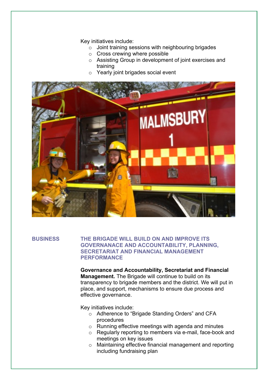Key initiatives include:

- o Joint training sessions with neighbouring brigades
- o Cross crewing where possible
- o Assisting Group in development of joint exercises and training
- o Yearly joint brigades social event



#### **BUSINESS THE BRIGADE WILL BUILD ON AND IMPROVE ITS GOVERNANACE AND ACCOUNTABILITY, PLANNING, SECRETARIAT AND FINANCIAL MANAGEMENT PERFORMANCE**

**Governance and Accountability, Secretariat and Financial Management.** The Brigade will continue to build on its transparency to brigade members and the district. We will put in place, and support, mechanisms to ensure due process and effective governance.

- o Adherence to "Brigade Standing Orders" and CFA procedures
- o Running effective meetings with agenda and minutes
- o Regularly reporting to members via e-mail, face-book and meetings on key issues
- o Maintaining effective financial management and reporting including fundraising plan